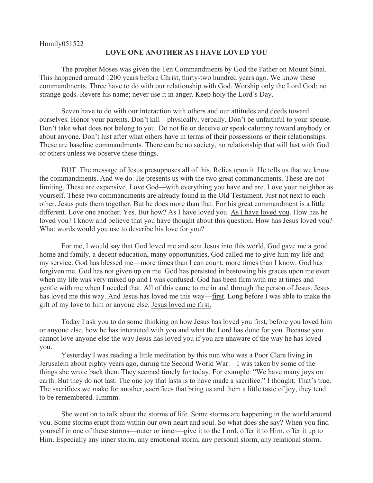## Homily051522

## **LOVE ONE ANOTHER AS I HAVE LOVED YOU**

The prophet Moses was given the Ten Commandments by God the Father on Mount Sinai. This happened around 1200 years before Christ, thirty-two hundred years ago. We know these commandments. Three have to do with our relationship with God. Worship only the Lord God; no strange gods. Revere his name; never use it in anger. Keep holy the Lord's Day.

Seven have to do with our interaction with others and our attitudes and deeds toward ourselves. Honor your parents. Don't kill—physically, verbally. Don't be unfaithful to your spouse. Don't take what does not belong to you. Do not lie or deceive or speak calumny toward anybody or about anyone. Don't lust after what others have in terms of their possessions or their relationships. These are baseline commandments. There can be no society, no relationship that will last with God or others unless we observe these things.

BUT. The message of Jesus presupposes all of this. Relies upon it. He tells us that we know the commandments. And we do. He presents us with the two great commandments. These are not limiting. These are expansive. Love God—with everything you have and are. Love your neighbor as yourself. These two commandments are already found in the Old Testament. Just not next to each other. Jesus puts them together. But he does more than that. For his great commandment is a little different. Love one another. Yes. But how? As I have loved you. As I have loved you. How has he loved you? I know and believe that you have thought about this question. How has Jesus loved you? What words would you use to describe his love for you?

For me, I would say that God loved me and sent Jesus into this world, God gave me a good home and family, a decent education, many opportunities, God called me to give him my life and my service. God has blessed me—more times than I can count, more times than I know. God has forgiven me. God has not given up on me. God has persisted in bestowing his graces upon me even when my life was very mixed up and I was confused. God has been firm with me at times and gentle with me when I needed that. All of this came to me in and through the person of Jesus. Jesus has loved me this way. And Jesus has loved me this way—first. Long before I was able to make the gift of my love to him or anyone else. Jesus loved me first.

Today I ask you to do some thinking on how Jesus has loved you first, before you loved him or anyone else, how he has interacted with you and what the Lord has done for you. Because you cannot love anyone else the way Jesus has loved you if you are unaware of the way he has loved you.

Yesterday I was reading a little meditation by this nun who was a Poor Clare living in Jerusalem about eighty years ago, during the Second World War. I was taken by some of the things she wrote back then. They seemed timely for today. For example: "We have many joys on earth. But they do not last. The one joy that lasts is to have made a sacrifice." I thought: That's true. The sacrifices we make for another, sacrifices that bring us and them a little taste of joy, they tend to be remembered. Hmmm.

She went on to talk about the storms of life. Some storms are happening in the world around you. Some storms erupt from within our own heart and soul. So what does she say? When you find yourself in one of these storms—outer or inner—give it to the Lord, offer it to Him, offer it up to Him. Especially any inner storm, any emotional storm, any personal storm, any relational storm.